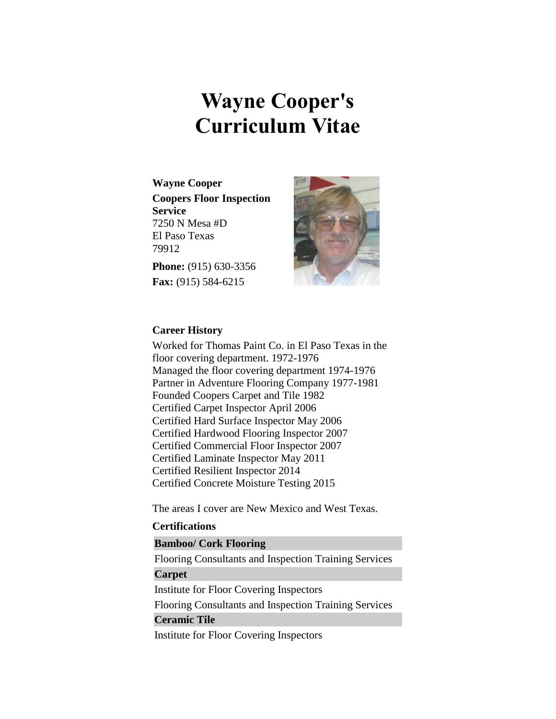# **Wayne Cooper's Curriculum Vitae**

**Wayne Cooper Coopers Floor Inspection Service** 7250 N Mesa #D El Paso Texas 79912

**Phone:** (915) 630-3356 **Fax:** (915) 584-6215



## **Career History**

Worked for Thomas Paint Co. in El Paso Texas in the floor covering department. 1972-1976 Managed the floor covering department 1974-1976 Partner in Adventure Flooring Company 1977-1981 Founded Coopers Carpet and Tile 1982 Certified Carpet Inspector April 2006 Certified Hard Surface Inspector May 2006 Certified Hardwood Flooring Inspector 2007 Certified Commercial Floor Inspector 2007 Certified Laminate Inspector May 2011 Certified Resilient Inspector 2014 Certified Concrete Moisture Testing 2015

The areas I cover are New Mexico and West Texas.

## **Certifications**

# **Bamboo/ Cork Flooring**

Flooring Consultants and Inspection Training Services **Carpet**

Institute for Floor Covering Inspectors

Flooring Consultants and Inspection Training Services

## **Ceramic Tile**

Institute for Floor Covering Inspectors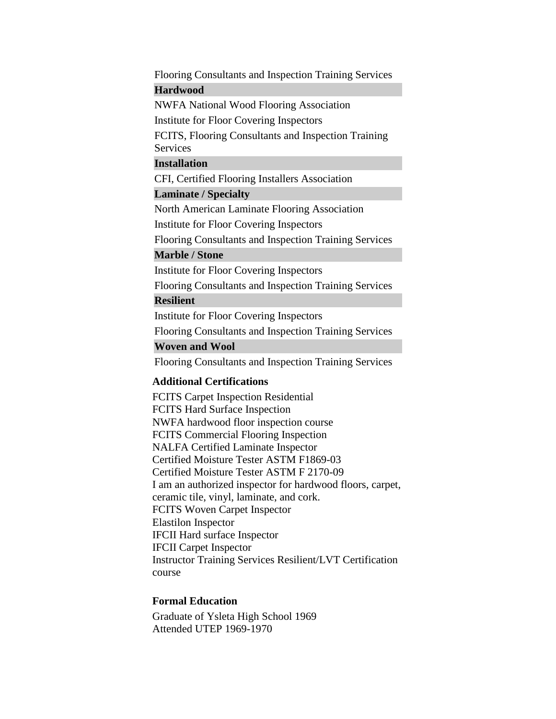Flooring Consultants and Inspection Training Services **Hardwood**

NWFA National Wood Flooring Association

Institute for Floor Covering Inspectors

FCITS, Flooring Consultants and Inspection Training Services

#### **Installation**

CFI, Certified Flooring Installers Association

## **Laminate / Specialty**

North American Laminate Flooring Association

Institute for Floor Covering Inspectors

Flooring Consultants and Inspection Training Services

## **Marble / Stone**

Institute for Floor Covering Inspectors

Flooring Consultants and Inspection Training Services

## **Resilient**

Institute for Floor Covering Inspectors

Flooring Consultants and Inspection Training Services

## **Woven and Wool**

Flooring Consultants and Inspection Training Services

## **Additional Certifications**

FCITS Carpet Inspection Residential FCITS Hard Surface Inspection NWFA hardwood floor inspection course FCITS Commercial Flooring Inspection NALFA Certified Laminate Inspector Certified Moisture Tester ASTM F1869-03 Certified Moisture Tester ASTM F 2170-09 I am an authorized inspector for hardwood floors, carpet, ceramic tile, vinyl, laminate, and cork. FCITS Woven Carpet Inspector Elastilon Inspector IFCII Hard surface Inspector IFCII Carpet Inspector Instructor Training Services Resilient/LVT Certification course

### **Formal Education**

Graduate of Ysleta High School 1969 Attended UTEP 1969-1970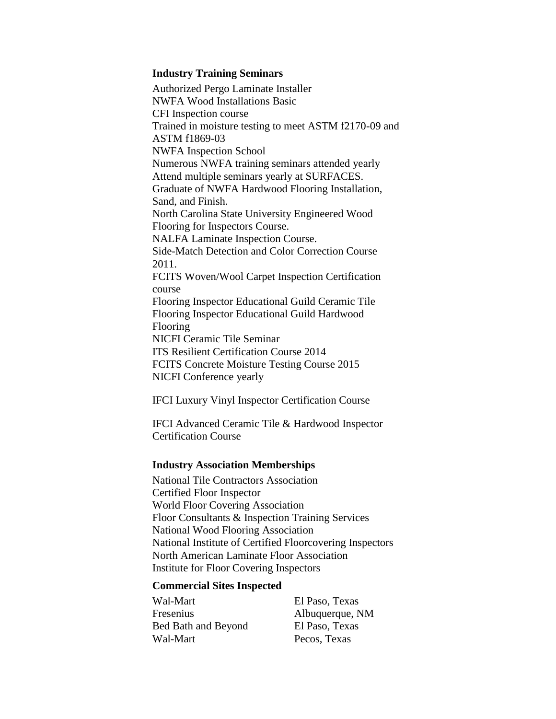#### **Industry Training Seminars**

Authorized Pergo Laminate Installer NWFA Wood Installations Basic CFI Inspection course Trained in moisture testing to meet ASTM f2170-09 and ASTM f1869-03 NWFA Inspection School Numerous NWFA training seminars attended yearly Attend multiple seminars yearly at SURFACES. Graduate of NWFA Hardwood Flooring Installation, Sand, and Finish. North Carolina State University Engineered Wood Flooring for Inspectors Course. NALFA Laminate Inspection Course. Side-Match Detection and Color Correction Course 2011. FCITS Woven/Wool Carpet Inspection Certification course Flooring Inspector Educational Guild Ceramic Tile Flooring Inspector Educational Guild Hardwood Flooring NICFI Ceramic Tile Seminar ITS Resilient Certification Course 2014 FCITS Concrete Moisture Testing Course 2015 NICFI Conference yearly

IFCI Luxury Vinyl Inspector Certification Course

IFCI Advanced Ceramic Tile & Hardwood Inspector Certification Course

### **Industry Association Memberships**

National Tile Contractors Association Certified Floor Inspector World Floor Covering Association Floor Consultants & Inspection Training Services National Wood Flooring Association National Institute of Certified Floorcovering Inspectors North American Laminate Floor Association Institute for Floor Covering Inspectors

## **Commercial Sites Inspected**

Wal-Mart Fresenius Bed Bath and Beyond Wal-Mart

El Paso, Texas Albuquerque, NM El Paso, Texas Pecos, Texas